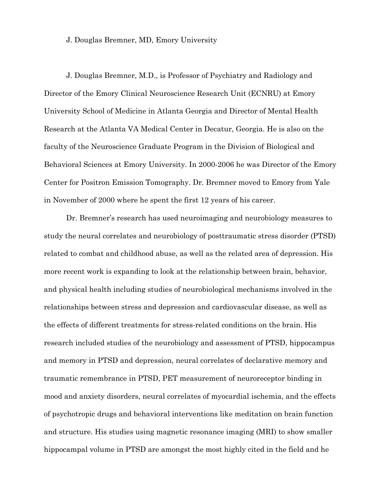## J. Douglas Bremner, MD, Emory University

J. Douglas Bremner, M.D., is Professor of Psychiatry and Radiology and Director of the Emory Clinical Neuroscience Research Unit (ECNRU) at Emory University School of Medicine in Atlanta Georgia and Director of Mental Health Research at the Atlanta VA Medical Center in Decatur, Georgia. He is also on the faculty of the Neuroscience Graduate Program in the Division of Biological and Behavioral Sciences at Emory University. In 2000-2006 he was Director of the Emory Center for Positron Emission Tomography. Dr. Bremner moved to Emory from Yale in November of 2000 where he spent the first 12 years of his career.

Dr. Bremner's research has used neuroimaging and neurobiology measures to study the neural correlates and neurobiology of posttraumatic stress disorder (PTSD) related to combat and childhood abuse, as well as the related area of depression. His more recent work is expanding to look at the relationship between brain, behavior, and physical health including studies of neurobiological mechanisms involved in the relationships between stress and depression and cardiovascular disease, as well as the effects of different treatments for stress-related conditions on the brain. His research included studies of the neurobiology and assessment of PTSD, hippocampus and memory in PTSD and depression, neural correlates of declarative memory and traumatic remembrance in PTSD, PET measurement of neuroreceptor binding in mood and anxiety disorders, neural correlates of myocardial ischemia, and the effects of psychotropic drugs and behavioral interventions like meditation on brain function and structure. His studies using magnetic resonance imaging (MRI) to show smaller hippocampal volume in PTSD are amongst the most highly cited in the field and he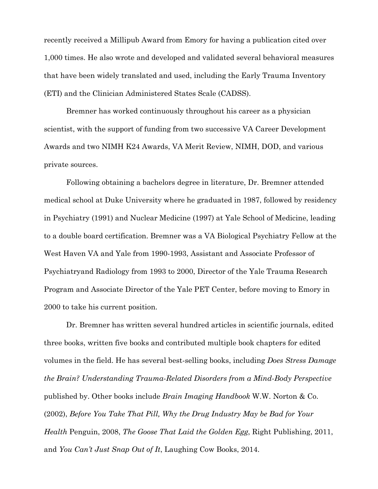recently received a Millipub Award from Emory for having a publication cited over 1,000 times. He also wrote and developed and validated several behavioral measures that have been widely translated and used, including the Early Trauma Inventory (ETI) and the Clinician Administered States Scale (CADSS).

Bremner has worked continuously throughout his career as a physician scientist, with the support of funding from two successive VA Career Development Awards and two NIMH K24 Awards, VA Merit Review, NIMH, DOD, and various private sources.

Following obtaining a bachelors degree in literature, Dr. Bremner attended medical school at Duke University where he graduated in 1987, followed by residency in Psychiatry (1991) and Nuclear Medicine (1997) at Yale School of Medicine, leading to a double board certification. Bremner was a VA Biological Psychiatry Fellow at the West Haven VA and Yale from 1990-1993, Assistant and Associate Professor of Psychiatryand Radiology from 1993 to 2000, Director of the Yale Trauma Research Program and Associate Director of the Yale PET Center, before moving to Emory in 2000 to take his current position.

Dr. Bremner has written several hundred articles in scientific journals, edited three books, written five books and contributed multiple book chapters for edited volumes in the field. He has several best-selling books, including *Does Stress Damage the Brain? Understanding Trauma-Related Disorders from a Mind-Body Perspective* published by. Other books include *Brain Imaging Handbook* W.W. Norton & Co. (2002), *Before You Take That Pill, Why the Drug Industry May be Bad for Your Health* Penguin, 2008, *The Goose That Laid the Golden Egg*, Right Publishing, 2011, and *You Can't Just Snap Out of It*, Laughing Cow Books, 2014.